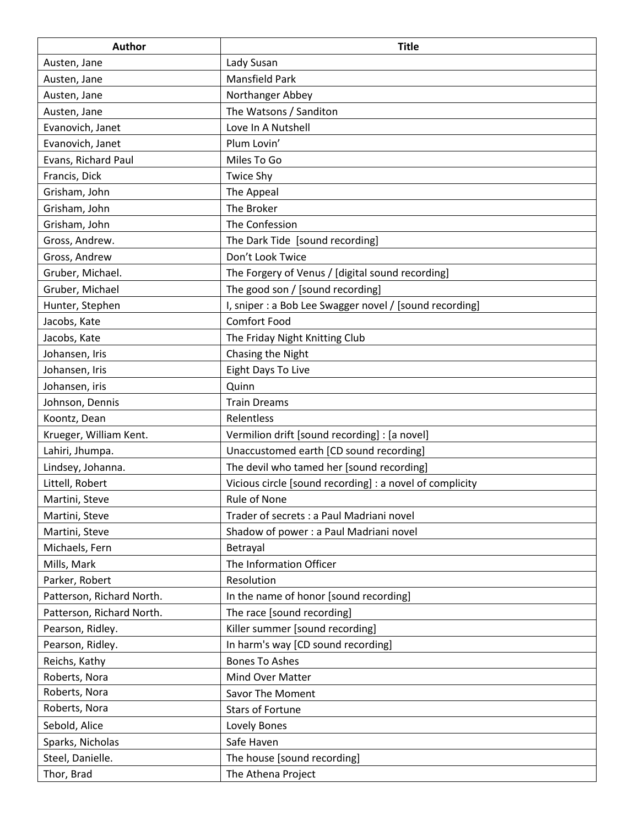| <b>Author</b>             | <b>Title</b>                                             |
|---------------------------|----------------------------------------------------------|
| Austen, Jane              | Lady Susan                                               |
| Austen, Jane              | <b>Mansfield Park</b>                                    |
| Austen, Jane              | Northanger Abbey                                         |
| Austen, Jane              | The Watsons / Sanditon                                   |
| Evanovich, Janet          | Love In A Nutshell                                       |
| Evanovich, Janet          | Plum Lovin'                                              |
| Evans, Richard Paul       | Miles To Go                                              |
| Francis, Dick             | <b>Twice Shy</b>                                         |
| Grisham, John             | The Appeal                                               |
| Grisham, John             | The Broker                                               |
| Grisham, John             | The Confession                                           |
| Gross, Andrew.            | The Dark Tide [sound recording]                          |
| Gross, Andrew             | Don't Look Twice                                         |
| Gruber, Michael.          | The Forgery of Venus / [digital sound recording]         |
| Gruber, Michael           | The good son / [sound recording]                         |
| Hunter, Stephen           | I, sniper : a Bob Lee Swagger novel / [sound recording]  |
| Jacobs, Kate              | <b>Comfort Food</b>                                      |
| Jacobs, Kate              | The Friday Night Knitting Club                           |
| Johansen, Iris            | Chasing the Night                                        |
| Johansen, Iris            | Eight Days To Live                                       |
| Johansen, iris            | Quinn                                                    |
| Johnson, Dennis           | <b>Train Dreams</b>                                      |
| Koontz, Dean              | Relentless                                               |
| Krueger, William Kent.    | Vermilion drift [sound recording] : [a novel]            |
| Lahiri, Jhumpa.           | Unaccustomed earth [CD sound recording]                  |
| Lindsey, Johanna.         | The devil who tamed her [sound recording]                |
| Littell, Robert           | Vicious circle [sound recording] : a novel of complicity |
| Martini, Steve            | Rule of None                                             |
| Martini, Steve            | Trader of secrets : a Paul Madriani novel                |
| Martini, Steve            | Shadow of power : a Paul Madriani novel                  |
| Michaels, Fern            | Betrayal                                                 |
| Mills, Mark               | The Information Officer                                  |
| Parker, Robert            | Resolution                                               |
| Patterson, Richard North. | In the name of honor [sound recording]                   |
| Patterson, Richard North. | The race [sound recording]                               |
| Pearson, Ridley.          | Killer summer [sound recording]                          |
| Pearson, Ridley.          | In harm's way [CD sound recording]                       |
| Reichs, Kathy             | <b>Bones To Ashes</b>                                    |
| Roberts, Nora             | Mind Over Matter                                         |
| Roberts, Nora             | <b>Savor The Moment</b>                                  |
| Roberts, Nora             | <b>Stars of Fortune</b>                                  |
| Sebold, Alice             | Lovely Bones                                             |
| Sparks, Nicholas          | Safe Haven                                               |
| Steel, Danielle.          | The house [sound recording]                              |
| Thor, Brad                | The Athena Project                                       |